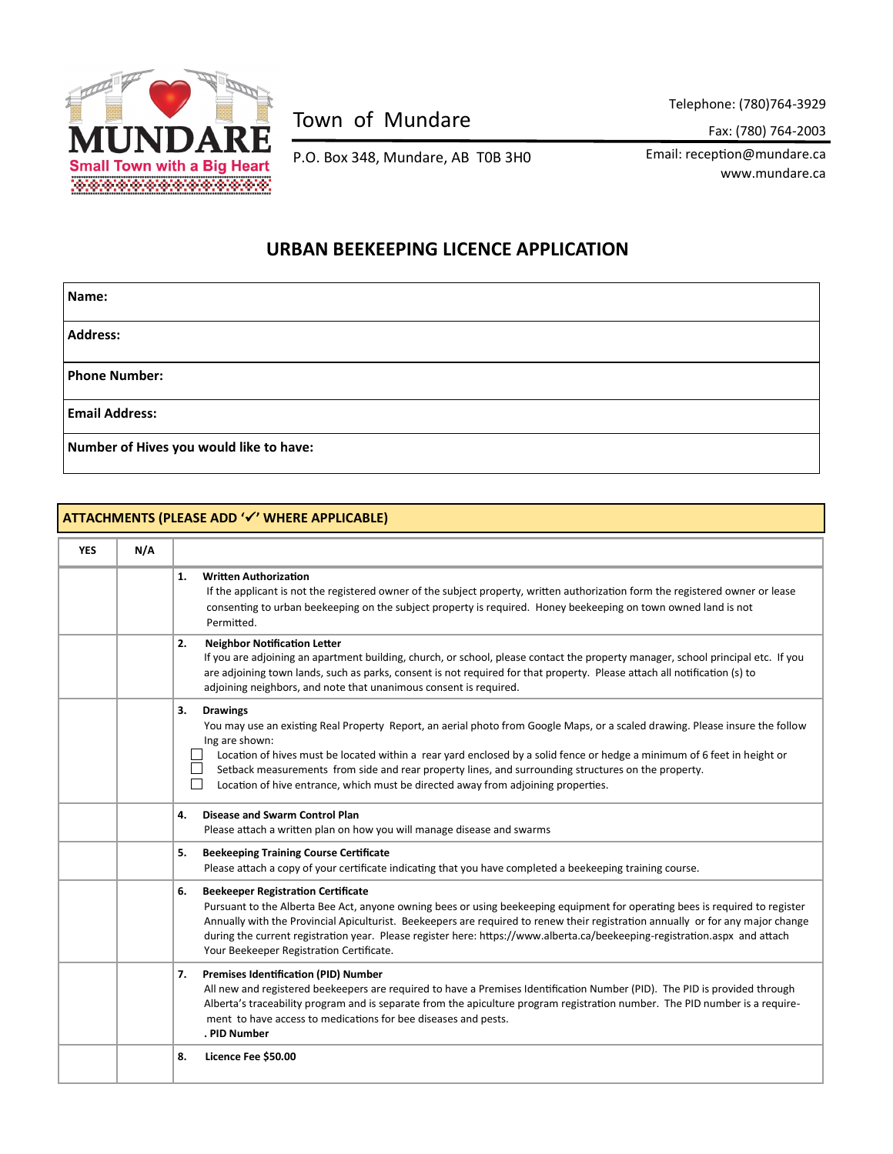

## Town of Mundare

Telephone: (780)764-3929

Fax: (780) 764-2003

P.O. Box 348, Mundare, AB T0B 3H0

Email: reception@mundare.ca www.mundare.ca

## **URBAN BEEKEEPING LICENCE APPLICATION**

| Name:                                   |  |  |  |
|-----------------------------------------|--|--|--|
| <b>Address:</b>                         |  |  |  |
| <b>Phone Number:</b>                    |  |  |  |
| <b>Email Address:</b>                   |  |  |  |
| Number of Hives you would like to have: |  |  |  |

## **ATTACHMENTS (PLEASE ADD '**✓**' WHERE APPLICABLE)**

| <b>YES</b> | N/A |                                                                                                                                                                                                                                                                                                                                                                                                                                                                                                  |
|------------|-----|--------------------------------------------------------------------------------------------------------------------------------------------------------------------------------------------------------------------------------------------------------------------------------------------------------------------------------------------------------------------------------------------------------------------------------------------------------------------------------------------------|
|            |     | <b>Written Authorization</b><br>1.<br>If the applicant is not the registered owner of the subject property, written authorization form the registered owner or lease<br>consenting to urban beekeeping on the subject property is required. Honey beekeeping on town owned land is not<br>Permitted.                                                                                                                                                                                             |
|            |     | 2.<br><b>Neighbor Notification Letter</b><br>If you are adjoining an apartment building, church, or school, please contact the property manager, school principal etc. If you<br>are adjoining town lands, such as parks, consent is not required for that property. Please attach all notification (s) to<br>adjoining neighbors, and note that unanimous consent is required.                                                                                                                  |
|            |     | 3.<br><b>Drawings</b><br>You may use an existing Real Property Report, an aerial photo from Google Maps, or a scaled drawing. Please insure the follow<br>Ing are shown:<br>Location of hives must be located within a rear yard enclosed by a solid fence or hedge a minimum of 6 feet in height or<br>Setback measurements from side and rear property lines, and surrounding structures on the property.<br>Location of hive entrance, which must be directed away from adjoining properties. |
|            |     | <b>Disease and Swarm Control Plan</b><br>4.<br>Please attach a written plan on how you will manage disease and swarms                                                                                                                                                                                                                                                                                                                                                                            |
|            |     | <b>Beekeeping Training Course Certificate</b><br>5.<br>Please attach a copy of your certificate indicating that you have completed a beekeeping training course.                                                                                                                                                                                                                                                                                                                                 |
|            |     | <b>Beekeeper Registration Certificate</b><br>6.<br>Pursuant to the Alberta Bee Act, anyone owning bees or using beekeeping equipment for operating bees is required to register<br>Annually with the Provincial Apiculturist. Beekeepers are required to renew their registration annually or for any major change<br>during the current registration year. Please register here: https://www.alberta.ca/beekeeping-registration.aspx and attach<br>Your Beekeeper Registration Certificate.     |
|            |     | <b>Premises Identification (PID) Number</b><br>7.<br>All new and registered beekeepers are required to have a Premises Identification Number (PID). The PID is provided through<br>Alberta's traceability program and is separate from the apiculture program registration number. The PID number is a require-<br>ment to have access to medications for bee diseases and pests.<br>. PID Number                                                                                                |
|            |     | Licence Fee \$50.00<br>8.                                                                                                                                                                                                                                                                                                                                                                                                                                                                        |